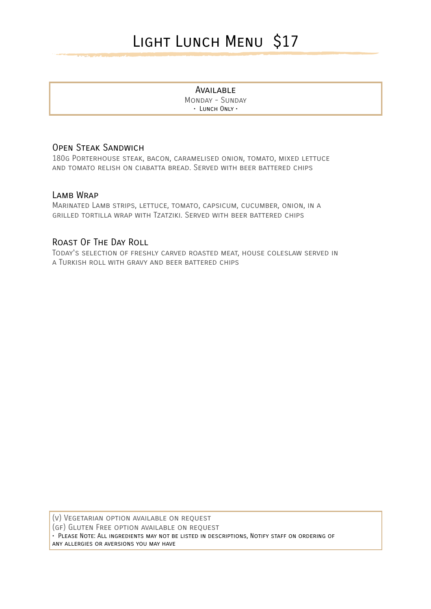# Light Lunch Menu \$17

**AVAILABLE** Monday - Sunday • LUNCH ONLY •

#### Open Steak Sandwich

180g Porterhouse steak, bacon, caramelised onion, tomato, mixed lettuce and tomato relish on ciabatta bread. Served with beer battered chips

#### LAMB WRAP

Marinated Lamb strips, lettuce, tomato, capsicum, cucumber, onion, in a grilled tortilla wrap with Tzatziki. Served with beer battered chips

### Roast Of The Day Roll

Today's selection of freshly carved roasted meat, house coleslaw served in a Turkish roll with gravy and beer battered chips

(v) Vegetarian option available on request (GF) GLUTEN FREE OPTION AVAILABLE ON REQUEST • Please Note: All ingredients may not be listed in descriptions, Notify staff on ordering of any allergies or aversions you may have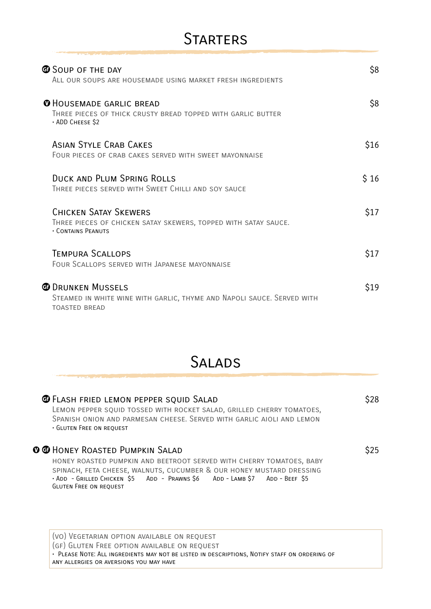## **STARTERS**

| <b>O</b> SOUP OF THE DAY<br>ALL OUR SOUPS ARE HOUSEMADE USING MARKET FRESH INGREDIENTS                                     | \$8  |
|----------------------------------------------------------------------------------------------------------------------------|------|
| <b>O</b> HOUSEMADE GARLIC BREAD<br>THREE PIECES OF THICK CRUSTY BREAD TOPPED WITH GARLIC BUTTER<br>· ADD CHEESE \$2        | \$8  |
| <b>ASIAN STYLE CRAB CAKES</b><br>FOUR PIECES OF CRAB CAKES SERVED WITH SWEET MAYONNAISE                                    | \$16 |
| <b>DUCK AND PLUM SPRING ROLLS</b><br>THREE PIECES SERVED WITH SWEET CHILLI AND SOY SAUCE                                   | \$16 |
| <b>CHICKEN SATAY SKEWERS</b><br>THREE PIECES OF CHICKEN SATAY SKEWERS, TOPPED WITH SATAY SAUCE.<br><b>CONTAINS PEANUTS</b> | \$17 |
| <b>TEMPURA SCALLOPS</b><br>FOUR SCALLOPS SERVED WITH JAPANESE MAYONNAISE                                                   | \$17 |
| <b>@ DRUNKEN MUSSELS</b><br>STEAMED IN WHITE WINE WITH GARLIC, THYME AND NAPOLI SAUCE. SERVED WITH<br><b>TOASTED BREAD</b> | \$19 |

## **SALADS**

| <b>G</b> FLASH FRIED LEMON PEPPER SQUID SALAD<br>LEMON PEPPER SQUID TOSSED WITH ROCKET SALAD, GRILLED CHERRY TOMATOES,<br>SPANISH ONION AND PARMESAN CHEESE. SERVED WITH GARLIC AIOLI AND LEMON<br>. GLUTEN FREE ON REQUEST                                                                           | \$28 |
|-------------------------------------------------------------------------------------------------------------------------------------------------------------------------------------------------------------------------------------------------------------------------------------------------------|------|
| <b>O G</b> HONEY ROASTED PUMPKIN SALAD<br>HONEY ROASTED PUMPKIN AND BEETROOT SERVED WITH CHERRY TOMATOES, BABY<br>SPINACH, FETA CHEESE, WALNUTS, CUCUMBER & OUR HONEY MUSTARD DRESSING<br>- ADD - GRILLED CHICKEN \$5 ADD - PRAWNS \$6 ADD - LAMB \$7 ADD - BEEF \$5<br><b>GLUTEN FREE ON REQUEST</b> | S25. |

(vo) Vegetarian option available on request (gf) Gluten Free option available on request • Please Note: All ingredients may not be listed in descriptions, Notify staff on ordering of any allergies or aversions you may have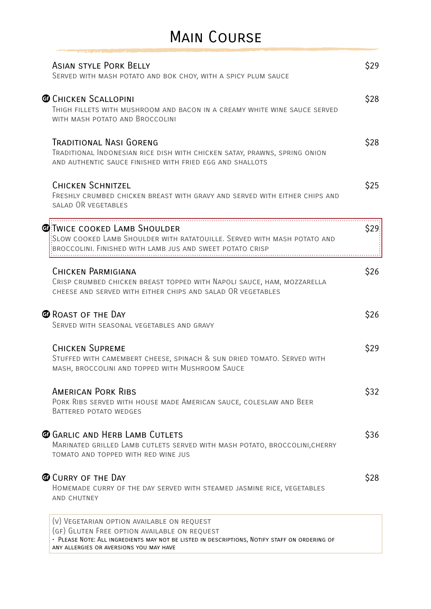# Main Course

| <b>ASIAN STYLE PORK BELLY</b><br>SERVED WITH MASH POTATO AND BOK CHOY, WITH A SPICY PLUM SAUCE                                                                                              | \$29 |
|---------------------------------------------------------------------------------------------------------------------------------------------------------------------------------------------|------|
| <b>@</b> Chicken Scallopini<br>THIGH FILLETS WITH MUSHROOM AND BACON IN A CREAMY WHITE WINE SAUCE SERVED<br>WITH MASH POTATO AND BROCCOLINI                                                 | \$28 |
| <b>TRADITIONAL NASI GORENG</b><br>TRADITIONAL INDONESIAN RICE DISH WITH CHICKEN SATAY, PRAWNS, SPRING ONION<br>AND AUTHENTIC SAUCE FINISHED WITH FRIED EGG AND SHALLOTS                     | \$28 |
| <b>CHICKEN SCHNITZEL</b><br>FRESHLY CRUMBED CHICKEN BREAST WITH GRAVY AND SERVED WITH EITHER CHIPS AND<br><b>SALAD OR VEGETABLES</b>                                                        | \$25 |
| <b>GETWICE COOKED LAMB SHOULDER</b><br>:SLOW COOKED LAMB SHOULDER WITH RATATOUILLE. SERVED WITH MASH POTATO AND<br>BROCCOLINI. FINISHED WITH LAMB JUS AND SWEET POTATO CRISP:               | \$29 |
| <b>CHICKEN PARMIGIANA</b><br>CRISP CRUMBED CHICKEN BREAST TOPPED WITH NAPOLI SAUCE, HAM, MOZZARELLA<br>CHEESE AND SERVED WITH EITHER CHIPS AND SALAD OR VEGETABLES                          | \$26 |
| <b>@</b> ROAST OF THE DAY<br>SERVED WITH SEASONAL VEGETABLES AND GRAVY                                                                                                                      | \$26 |
| <b>CHICKEN SUPREME</b><br>STUFFED WITH CAMEMBERT CHEESE, SPINACH & SUN DRIED TOMATO. SERVED WITH<br>MASH, BROCCOLINI AND TOPPED WITH MUSHROOM SAUCE                                         | \$29 |
| <b>AMERICAN PORK RIBS</b><br>PORK RIBS SERVED WITH HOUSE MADE AMERICAN SAUCE, COLESLAW AND BEER<br>BATTERED POTATO WEDGES                                                                   | \$32 |
| <b>@</b> GARLIC AND HERB LAMB CUTLETS<br>MARINATED GRILLED LAMB CUTLETS SERVED WITH MASH POTATO, BROCCOLINI, CHERRY<br>TOMATO AND TOPPED WITH RED WINE JUS                                  | \$36 |
| <b>CO</b> CURRY OF THE DAY<br>HOMEMADE CURRY OF THE DAY SERVED WITH STEAMED JASMINE RICE, VEGETABLES<br>AND CHUTNEY                                                                         | \$28 |
| (v) VEGETARIAN OPTION AVAILABLE ON REQUEST<br>(GF) GLUTEN FREE OPTION AVAILABLE ON REQUEST<br>- PLEASE NOTE: ALL INGREDIENTS MAY NOT BE LISTED IN DESCRIPTIONS, NOTIFY STAFF ON ORDERING OF |      |

any allergies or aversions you may have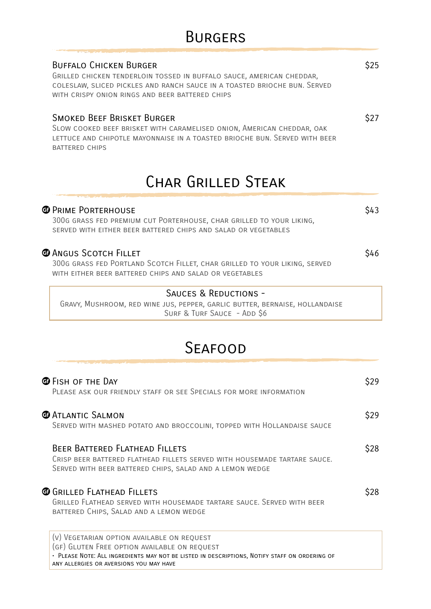## **BURGERS**

| <b>BUFFALO CHICKEN BURGER</b><br>GRILLED CHICKEN TENDERLOIN TOSSED IN BUFFALO SAUCE, AMERICAN CHEDDAR,<br>COLESLAW, SLICED PICKLES AND RANCH SAUCE IN A TOASTED BRIOCHE BUN. SERVED<br>WITH CRISPY ONION RINGS AND BEER BATTERED CHIPS | \$25 |
|----------------------------------------------------------------------------------------------------------------------------------------------------------------------------------------------------------------------------------------|------|
| <b>SMOKED BEEF BRISKET BURGER</b><br>SLOW COOKED BEEF BRISKET WITH CARAMELISED ONION, AMERICAN CHEDDAR, OAK<br>LETTUCE AND CHIPOTLE MAYONNAISE IN A TOASTED BRIOCHE BUN. SERVED WITH BEER<br><b>BATTERED CHIPS</b>                     | \$27 |
| <b>CHAR GRILLED STEAK</b>                                                                                                                                                                                                              |      |
| <b>O</b> PRIME PORTERHOUSE<br>300G GRASS FED PREMIUM CUT PORTERHOUSE, CHAR GRILLED TO YOUR LIKING,<br>SERVED WITH FITHER BEER BATTERED CHIPS AND SALAD OR VEGETABLES                                                                   | \$43 |
| <b>@ ANGUS SCOTCH FILLET</b><br>300G GRASS FED PORTLAND SCOTCH FILLET, CHAR GRILLED TO YOUR LIKING, SERVED<br>WITH EITHER BEER BATTERED CHIPS AND SALAD OR VEGETABLES                                                                  | \$46 |
|                                                                                                                                                                                                                                        |      |

#### Sauces & Reductions -

Gravy, Mushroom, red wine jus, pepper, garlic butter, bernaise, hollandaise SURF & TURF SAUCE - ADD \$6

*<u>Common Common Common Common Common Common Common Common Common Common Common Common Common Common Common Common Common Common Common Common Common Common Common Common Common Common Co*</u>

## **SEAFOOD**

| $\bigoplus$ Fish of the Day<br>PLEASE ASK OUR FRIENDLY STAFF OR SEE SPECIALS FOR MORE INFORMATION                                                                              | \$29 |
|--------------------------------------------------------------------------------------------------------------------------------------------------------------------------------|------|
| <b>@</b> ATLANTIC SALMON<br>SERVED WITH MASHED POTATO AND BROCCOLINI, TOPPED WITH HOLLANDAISE SAUCE                                                                            | \$29 |
| <b>BEER BATTERED FLATHEAD FILLETS</b><br>CRISP BEER BATTERED FLATHEAD FILLETS SERVED WITH HOUSEMADE TARTARE SAUCE.<br>SERVED WITH BEER BATTERED CHIPS, SALAD AND A LEMON WEDGE | \$28 |
| <b>@</b> Grilled Flathead Fillets<br>GRILLED FLATHEAD SERVED WITH HOUSEMADE TARTARE SAUCE. SERVED WITH BEER<br>BATTERED CHIPS, SALAD AND A LEMON WEDGE                         | \$28 |
| (V) VEGETARIAN OPTION AVAILABLE ON REQUEST                                                                                                                                     |      |

(gf) Gluten Free option available on request • Please Note: All ingredients may not be listed in descriptions, Notify staff on ordering of any allergies or aversions you may have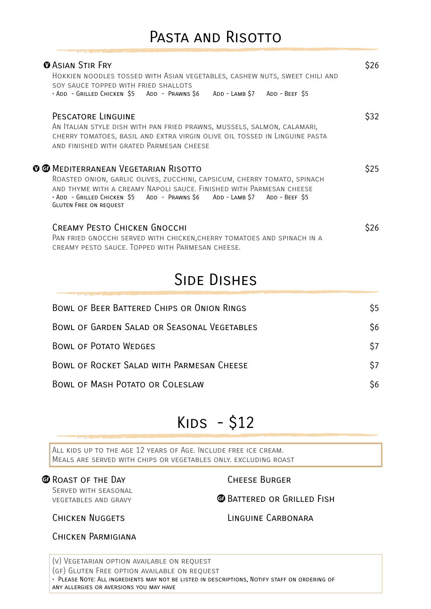## PASTA AND RISOTTO

| <b>@ ASIAN STIR FRY</b><br>HOKKIEN NOODLES TOSSED WITH ASIAN VEGETABLES, CASHEW NUTS, SWEET CHILI AND<br>SOY SAUCE TOPPED WITH FRIED SHALLOTS<br>· ADD - GRILLED CHICKEN \$5 ADD - PRAWNS\$6<br>ADD - LAMB \$7 ADD - BEEF \$5                                                                                           | S26  |
|-------------------------------------------------------------------------------------------------------------------------------------------------------------------------------------------------------------------------------------------------------------------------------------------------------------------------|------|
| PESCATORE LINGUINE<br>AN ITALIAN STYLE DISH WITH PAN FRIED PRAWNS, MUSSELS, SALMON, CALAMARI,<br>CHERRY TOMATOES, BASIL AND EXTRA VIRGIN OLIVE OIL TOSSED IN LINGUINE PASTA<br>AND FINISHED WITH GRATED PARMESAN CHEESE                                                                                                 | S32  |
| $\mathbf 0$ <b>G</b> Mediterranean Vegetarian Risotto<br>ROASTED ONION, GARLIC OLIVES, ZUCCHINI, CAPSICUM, CHERRY TOMATO, SPINACH<br>AND THYME WITH A CREAMY NAPOLI SAUCE. FINISHED WITH PARMESAN CHEESE<br>- ADD - GRILLED CHICKEN \$5 ADD - PRAWNS \$6 ADD - LAMB \$7 ADD - BEEF \$5<br><b>GLUTEN FREE ON REQUEST</b> | \$25 |
| <b>CREAMY PESTO CHICKEN GNOCCHI</b><br>PAN FRIED GNOCCHI SERVED WITH CHICKEN, CHERRY TOMATOES AND SPINACH IN A<br>CREAMY PESTO SAUCE. TOPPED WITH PARMESAN CHEESE.                                                                                                                                                      | S26  |

# **SIDE DISHES**

| BOWL OF BEER BATTERED CHIPS OR ONION RINGS  | \$5 |
|---------------------------------------------|-----|
| BOWL OF GARDEN SALAD OR SEASONAL VEGETABLES | \$6 |
| <b>BOWL OF POTATO WEDGES</b>                | \$7 |
| BOWL OF ROCKET SALAD WITH PARMESAN CHEESE   | \$7 |
| BOWL OF MASH POTATO OR COLESLAW             | \$6 |

# $KIDS - $12$

All kids up to the age 12 years of Age. Include free ice cream. Meals are served with chips or vegetables only. excluding roast

#### **E** ROAST OF THE DAY

#### Cheese Burger

Served with seasonal vegetables and gravy

## *G* BATTERED OR GRILLED FISH

Chicken Nuggets

Linguine Carbonara

Chicken Parmigiana

(v) Vegetarian option available on request (gf) Gluten Free option available on request • Please Note: All ingredients may not be listed in descriptions, Notify staff on ordering of any allergies or aversions you may have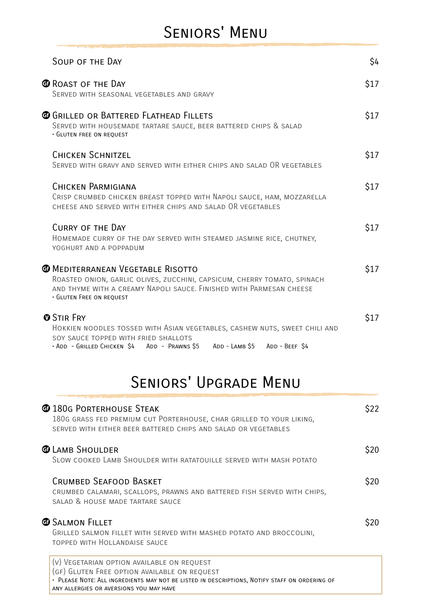# Seniors' Menu

| SOUP OF THE DAY                                                                                                                                                                                                         | \$4  |
|-------------------------------------------------------------------------------------------------------------------------------------------------------------------------------------------------------------------------|------|
| <b>@</b> ROAST OF THE DAY<br>SERVED WITH SEASONAL VEGETABLES AND GRAVY                                                                                                                                                  | \$17 |
| <b>@</b> Grilled or Battered Flathead Fillets<br>SERVED WITH HOUSEMADE TARTARE SAUCE, BEER BATTERED CHIPS & SALAD<br>· GLUTEN FREE ON REQUEST                                                                           | \$17 |
| <b>CHICKEN SCHNITZEL</b><br>SERVED WITH GRAVY AND SERVED WITH EITHER CHIPS AND SALAD OR VEGETABLES                                                                                                                      | \$17 |
| <b>CHICKEN PARMIGIANA</b><br>CRISP CRUMBED CHICKEN BREAST TOPPED WITH NAPOLI SAUCE, HAM, MOZZARELLA<br>CHEESE AND SERVED WITH EITHER CHIPS AND SALAD OR VEGETABLES                                                      | \$17 |
| <b>CURRY OF THE DAY</b><br>HOMEMADE CURRY OF THE DAY SERVED WITH STEAMED JASMINE RICE, CHUTNEY,<br>YOGHURT AND A POPPADUM                                                                                               | \$17 |
| <b>@</b> Mediterranean Vegetable Risotto<br>ROASTED ONION, GARLIC OLIVES, ZUCCHINI, CAPSICUM, CHERRY TOMATO, SPINACH<br>AND THYME WITH A CREAMY NAPOLI SAUCE. FINISHED WITH PARMESAN CHEESE<br>· GLUTEN FREE ON REQUEST | \$17 |
| <b>O</b> STIR FRY<br>HOKKIEN NOODLES TOSSED WITH ASIAN VEGETABLES, CASHEW NUTS, SWEET CHILI AND<br>SOY SAUCE TOPPED WITH FRIED SHALLOTS<br>- ADD - GRILLED CHICKEN \$4 ADD - PRAWNS \$5 ADD - LAMB \$5 ADD - BEEF \$4   | \$17 |

# Seniors' Upgrade Menu

| <b>180G PORTERHOUSE STEAK</b><br>180G GRASS FED PREMIUM CUT PORTERHOUSE, CHAR GRILLED TO YOUR LIKING,<br>SERVED WITH EITHER BEER BATTERED CHIPS AND SALAD OR VEGETABLES | \$22 |
|-------------------------------------------------------------------------------------------------------------------------------------------------------------------------|------|
| <b>C</b> LAMB SHOULDER<br>SLOW COOKED LAMB SHOULDER WITH RATATOUILLE SERVED WITH MASH POTATO                                                                            | \$20 |
| CRUMBED SEAFOOD BASKET<br>CRUMBED CALAMARI, SCALLOPS, PRAWNS AND BATTERED FISH SERVED WITH CHIPS,<br>SALAD & HOUSE MADE TARTARE SAUCE                                   | \$20 |
| <b>C</b> SALMON FILLET<br>GRILLED SALMON FILLET WITH SERVED WITH MASHED POTATO AND BROCCOLINI,<br>TOPPED WITH HOLLANDAISE SAUCE                                         | \$20 |
| (V) VEGETARIAN OPTION AVAILABLE ON REQUEST<br>[편집] 2012년 1월 1일 : 1월 1일 : 1월 1일 : 1월 1일 : 1월 1일 : 1월 1일 : 1월 1일 : 1월 1일 : 1월 1일 : 1월 1일 : 1월 1일 : 1월 1일 : 1월 1           |      |

(gf) Gluten Free option available on request • Please Note: All ingredients may not be listed in descriptions, Notify staff on ordering of any allergies or aversions you may have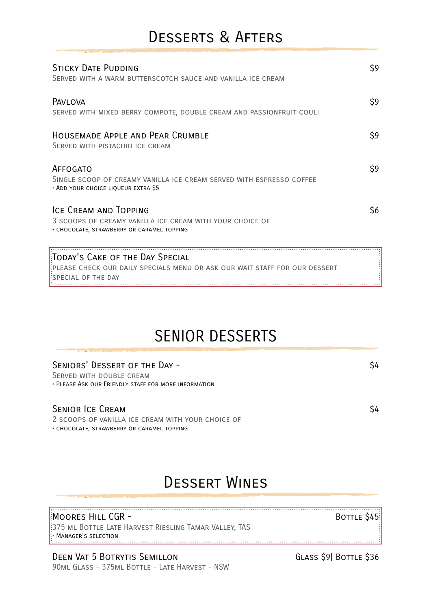## Desserts & Afters

| <b>STICKY DATE PUDDING</b><br>SERVED WITH A WARM BUTTERSCOTCH SAUCE AND VANILLA ICE CREAM                                                  | \$9 |
|--------------------------------------------------------------------------------------------------------------------------------------------|-----|
| PAVLOVA<br>SERVED WITH MIXED BERRY COMPOTE, DOUBLE CREAM AND PASSIONFRUIT COULI                                                            | \$9 |
| HOUSEMADE APPLE AND PEAR CRUMBLE<br>SERVED WITH PISTACHIO ICE CREAM                                                                        | \$9 |
| AFFOGATO<br>SINGLE SCOOP OF CREAMY VANILLA ICE CREAM SERVED WITH ESPRESSO COFFEE<br>· ADD YOUR CHOICE LIQUEUR EXTRA \$5                    | \$9 |
| ICE CREAM AND TOPPING<br>3 SCOOPS OF CREAMY VANILLA ICE CREAM WITH YOUR CHOICE OF<br>· CHOCOLATE, STRAWBERRY OR CARAMEL TOPPING            | \$6 |
| TODAY'S CAKE OF THE DAY SPECIAL<br>PLEASE CHECK OUR DAILY SPECIALS MENU OR ASK OUR WAIT STAFF FOR OUR DESSERT<br><b>SPECIAL OF THE DAY</b> |     |

# SENIOR DESSERTS

#### Seniors' Dessert of the Day - \$4

Served with double cream • Please Ask our Friendly staff for more information

#### SENIOR ICE CREAM  $$4$

2 scoops of vanilla ice cream with your choice of • chocolate, strawberry or caramel topping

## Dessert Wines

#### $\sim$  Moores Hill CGR - Bottle \$45.

375 ml Bottle Late Harvest Riesling Tamar Valley, TAS • Manager's selection

## DEEN VAT 5 BOTRYTIS SEMILLON GLASS \$9| BOTTLE \$36

90ml Glass - 375ml Bottle - Late Harvest - NSW